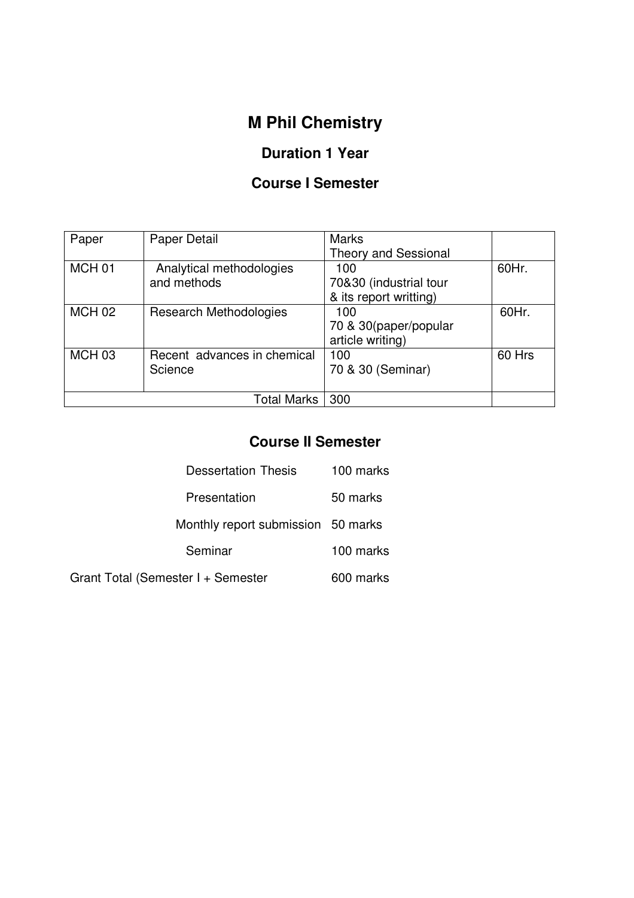# **M Phil Chemistry**

# **Duration 1 Year**

## **Course I Semester**

| Paper             | Paper Detail                  | <b>Marks</b>                |        |
|-------------------|-------------------------------|-----------------------------|--------|
|                   |                               | <b>Theory and Sessional</b> |        |
| MCH <sub>01</sub> | Analytical methodologies      | 100                         | 60Hr.  |
|                   | and methods                   | 70&30 (industrial tour      |        |
|                   |                               | & its report writting)      |        |
| <b>MCH 02</b>     | <b>Research Methodologies</b> | 100                         | 60Hr.  |
|                   |                               | 70 & 30 (paper/popular      |        |
|                   |                               | article writing)            |        |
| MCH <sub>03</sub> | Recent advances in chemical   | 100                         | 60 Hrs |
|                   | Science                       | 70 & 30 (Seminar)           |        |
|                   |                               |                             |        |
|                   | Total Marks                   | 300                         |        |

# **Course II Semester**

| <b>Dessertation Thesis</b>         | 100 marks |  |
|------------------------------------|-----------|--|
| Presentation                       | 50 marks  |  |
| Monthly report submission 50 marks |           |  |
| Seminar                            | 100 marks |  |
| Grant Total (Semester I + Semester | 600 marks |  |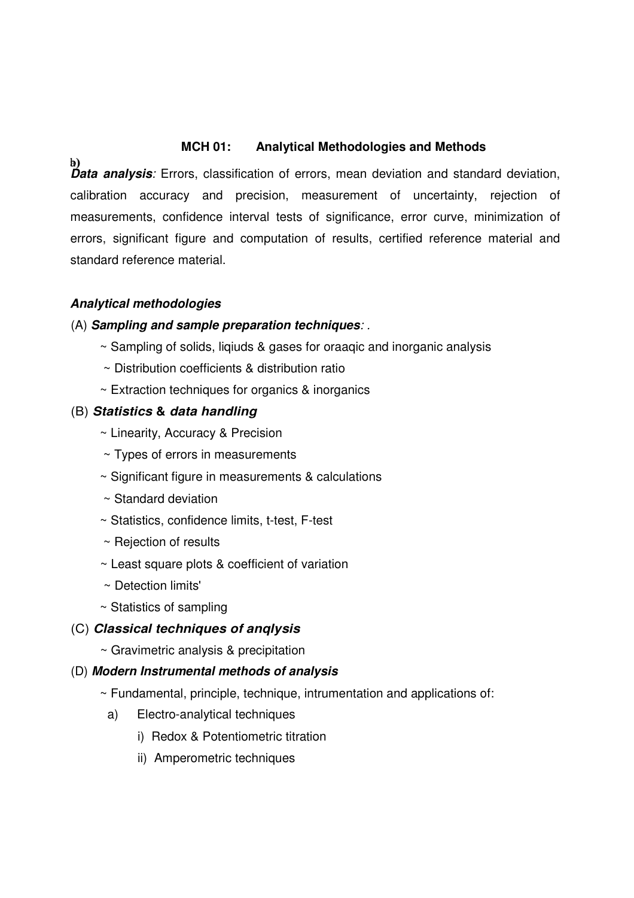#### **MCH 01: Analytical Methodologies and Methods**

b) **Data analysis**: Errors, classification of errors, mean deviation and standard deviation, calibration accuracy and precision, measurement of uncertainty, rejection of measurements, confidence interval tests of significance, error curve, minimization of errors, significant figure and computation of results, certified reference material and standard reference material.

### **Analytical methodologies**

#### (A) **Sampling and sample preparation techniques**: .

- ~ Sampling of solids, liqiuds & gases for oraaqic and inorganic analysis
- ~ Distribution coefficients & distribution ratio
- ~ Extraction techniques for organics & inorganics

### (B) **Statistics & data handling**

- ~ Linearity, Accuracy & Precision
- ~ Types of errors in measurements
- ~ Significant figure in measurements & calculations
- ~ Standard deviation
- ~ Statistics, confidence limits, t-test, F-test
- ~ Rejection of results
- ~ Least square plots & coefficient of variation
- ~ Detection limits'
- ~ Statistics of sampling

#### (C) **Classical techniques of anqlysis**

~ Gravimetric analysis & precipitation

#### (D) **Modern Instrumental methods of analysis**

- $\sim$  Fundamental, principle, technique, intrumentation and applications of:
	- a) Electro-analytical techniques
		- i) Redox & Potentiometric titration
		- ii) Amperometric techniques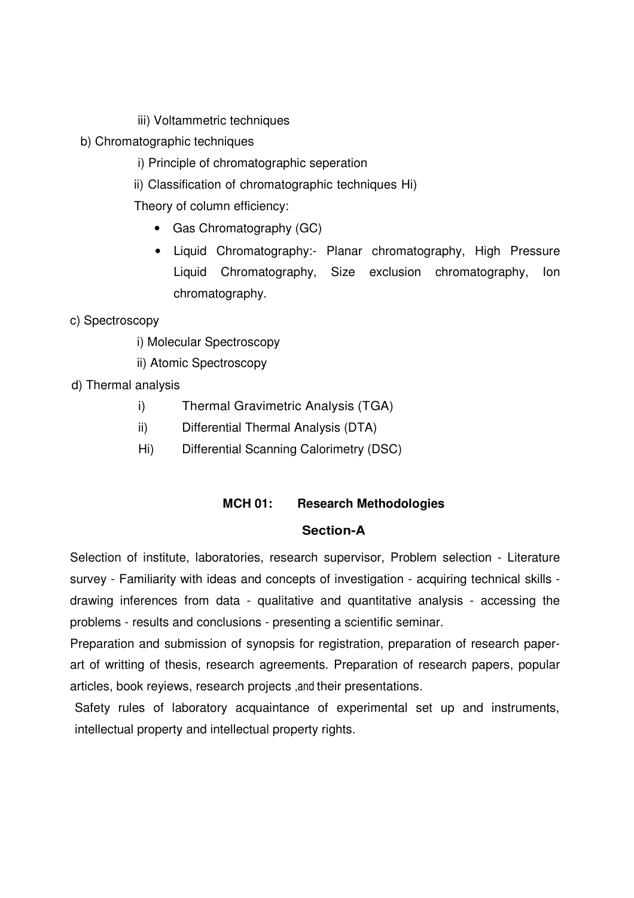- iii) Voltammetric techniques
- b) Chromatographic techniques
	- i) Principle of chromatographic seperation
	- ii) Classification of chromatographic techniques Hi)

Theory of column efficiency:

- Gas Chromatography (GC)
- Liquid Chromatography:- Planar chromatography, High Pressure Liquid Chromatography, Size exclusion chromatography, Ion chromatography.

c) Spectroscopy

- i) Molecular Spectroscopy
- ii) Atomic Spectroscopy

d) Thermal analysis

- i) Thermal Gravimetric Analysis (TGA)
- ii) Differential Thermal Analysis (DTA)
- Hi) Differential Scanning Calorimetry (DSC)

#### **MCH 01: Research Methodologies**

#### **Section-A**

Selection of institute, laboratories, research supervisor, Problem selection - Literature survey - Familiarity with ideas and concepts of investigation - acquiring technical skills drawing inferences from data - qualitative and quantitative analysis - accessing the problems - results and conclusions - presenting a scientific seminar.

Preparation and submission of synopsis for registration, preparation of research paperart of writting of thesis, research agreements. Preparation of research papers, popular articles, book reyiews, research projects ,and their presentations.

Safety rules of laboratory acquaintance of experimental set up and instruments, intellectual property and intellectual property rights.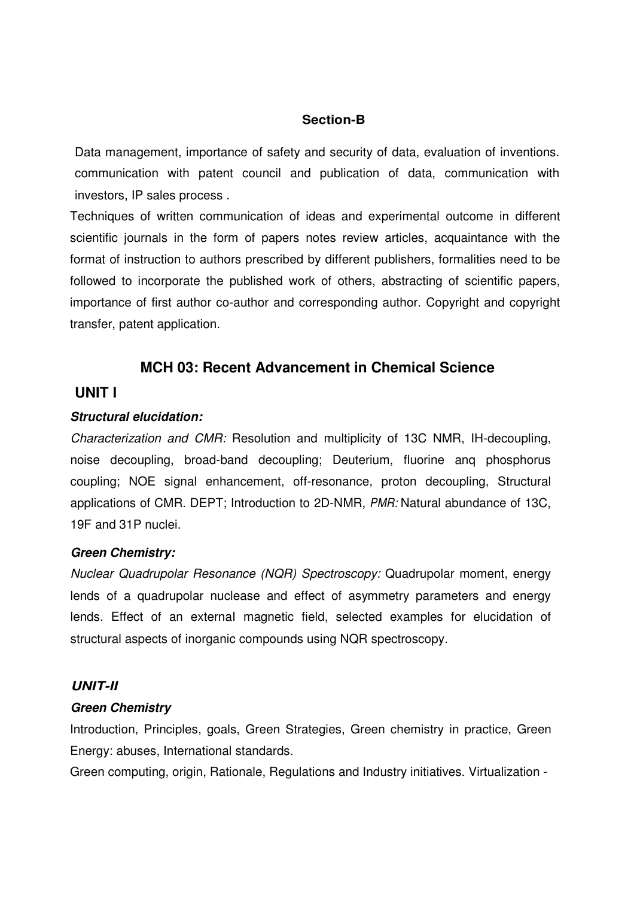### **Section-B**

Data management, importance of safety and security of data, evaluation of inventions. communication with patent council and publication of data, communication with investors, IP sales process .

Techniques of written communication of ideas and experimental outcome in different scientific journals in the form of papers notes review articles, acquaintance with the format of instruction to authors prescribed by different publishers, formalities need to be followed to incorporate the published work of others, abstracting of scientific papers, importance of first author co-author and corresponding author. Copyright and copyright transfer, patent application.

### **MCH 03: Recent Advancement in Chemical Science**

### **UNIT I**

#### **Structural elucidation:**

Characterization and CMR: Resolution and multiplicity of 13C NMR, IH-decoupling, noise decoupling, broad-band decoupling; Deuterium, fluorine anq phosphorus coupling; NOE signal enhancement, off-resonance, proton decoupling, Structural applications of CMR. DEPT; Introduction to 2D-NMR, PMR: Natural abundance of 13C, 19F and 31P nuclei.

#### **Green Chemistry:**

Nuclear Quadrupolar Resonance (NQR) Spectroscopy: Quadrupolar moment, energy lends of a quadrupolar nuclease and effect of asymmetry parameters and energy lends. Effect of an external magnetic field, selected examples for elucidation of structural aspects of inorganic compounds using NQR spectroscopy.

#### **UNIT-II**

#### **Green Chemistry**

Introduction, Principles, goals, Green Strategies, Green chemistry in practice, Green Energy: abuses, International standards.

Green computing, origin, Rationale, Regulations and Industry initiatives. Virtualization -